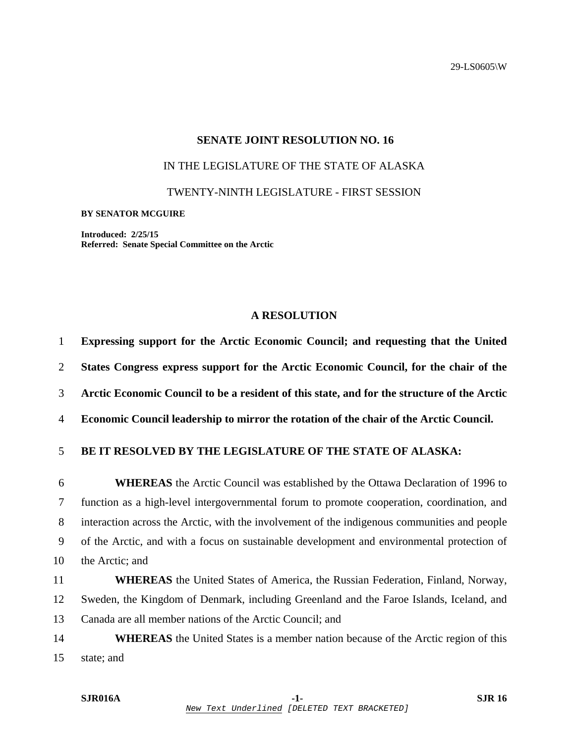29-LS0605\W

## **SENATE JOINT RESOLUTION NO. 16**

## IN THE LEGISLATURE OF THE STATE OF ALASKA

TWENTY-NINTH LEGISLATURE - FIRST SESSION

## **BY SENATOR MCGUIRE**

**Introduced: 2/25/15 Referred: Senate Special Committee on the Arctic** 

## **A RESOLUTION**

| Expressing support for the Arctic Economic Council; and requesting that the United           |
|----------------------------------------------------------------------------------------------|
| States Congress express support for the Arctic Economic Council, for the chair of the        |
| Arctic Economic Council to be a resident of this state, and for the structure of the Arctic  |
| Economic Council leadership to mirror the rotation of the chair of the Arctic Council.       |
| <b>BE IT RESOLVED BY THE LEGISLATURE OF THE STATE OF ALASKA:</b>                             |
| <b>WHEREAS</b> the Arctic Council was established by the Ottawa Declaration of 1996 to       |
| function as a high-level intergovernmental forum to promote cooperation, coordination, and   |
| interaction across the Arctic, with the involvement of the indigenous communities and people |
| of the Arctic, and with a focus on sustainable development and environmental protection of   |
| the Arctic; and                                                                              |
| <b>WHEREAS</b> the United States of America, the Russian Federation, Finland, Norway,        |
| Sweden, the Kingdom of Denmark, including Greenland and the Faroe Islands, Iceland, and      |
| Canada are all member nations of the Arctic Council; and                                     |
| <b>WHEREAS</b> the United States is a member nation because of the Arctic region of this     |
|                                                                                              |

15 state; and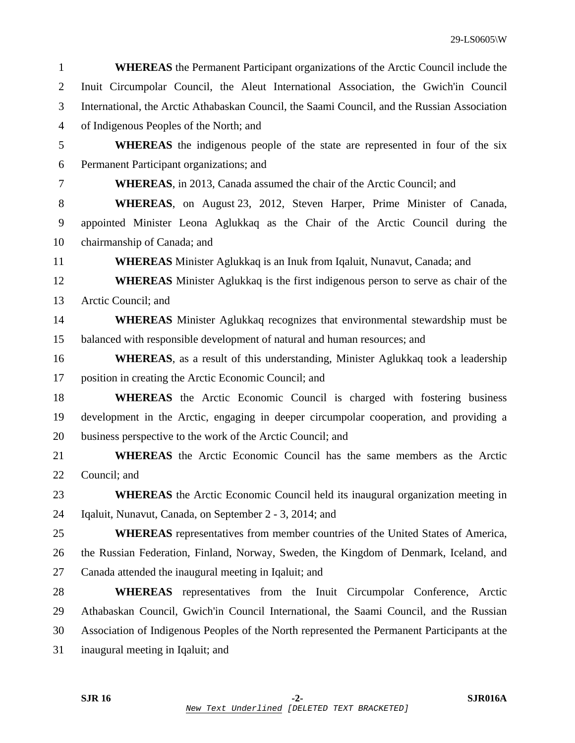| $\mathbf{1}$   | <b>WHEREAS</b> the Permanent Participant organizations of the Arctic Council include the     |
|----------------|----------------------------------------------------------------------------------------------|
| 2              | Inuit Circumpolar Council, the Aleut International Association, the Gwich'in Council         |
| 3              | International, the Arctic Athabaskan Council, the Saami Council, and the Russian Association |
| $\overline{4}$ | of Indigenous Peoples of the North; and                                                      |
| 5              | <b>WHEREAS</b> the indigenous people of the state are represented in four of the six         |
| 6              | Permanent Participant organizations; and                                                     |
| 7              | <b>WHEREAS</b> , in 2013, Canada assumed the chair of the Arctic Council; and                |
| 8              | <b>WHEREAS</b> , on August 23, 2012, Steven Harper, Prime Minister of Canada,                |
| 9              | appointed Minister Leona Aglukkaq as the Chair of the Arctic Council during the              |
| 10             | chairmanship of Canada; and                                                                  |
| 11             | <b>WHEREAS</b> Minister Aglukkaq is an Inuk from Iqaluit, Nunavut, Canada; and               |
| 12             | <b>WHEREAS</b> Minister Aglukkaq is the first indigenous person to serve as chair of the     |
| 13             | Arctic Council; and                                                                          |
| 14             | <b>WHEREAS</b> Minister Aglukkaq recognizes that environmental stewardship must be           |
| 15             | balanced with responsible development of natural and human resources; and                    |
| 16             | <b>WHEREAS</b> , as a result of this understanding, Minister Aglukkaq took a leadership      |
| 17             | position in creating the Arctic Economic Council; and                                        |
| 18             | <b>WHEREAS</b> the Arctic Economic Council is charged with fostering business                |
| 19             | development in the Arctic, engaging in deeper circumpolar cooperation, and providing a       |
| 20             | business perspective to the work of the Arctic Council; and                                  |
| 21             | <b>WHEREAS</b> the Arctic Economic Council has the same members as the Arctic                |
| 22             | Council; and                                                                                 |
| 23             | <b>WHEREAS</b> the Arctic Economic Council held its inaugural organization meeting in        |
| 24             | Iqaluit, Nunavut, Canada, on September 2 - 3, 2014; and                                      |
| 25             | <b>WHEREAS</b> representatives from member countries of the United States of America,        |
| 26             | the Russian Federation, Finland, Norway, Sweden, the Kingdom of Denmark, Iceland, and        |
| 27             | Canada attended the inaugural meeting in Iqaluit; and                                        |
| 28             | WHEREAS representatives from the Inuit Circumpolar Conference, Arctic                        |
| 29             | Athabaskan Council, Gwich'in Council International, the Saami Council, and the Russian       |
| 30             | Association of Indigenous Peoples of the North represented the Permanent Participants at the |
| 31             | inaugural meeting in Iqaluit; and                                                            |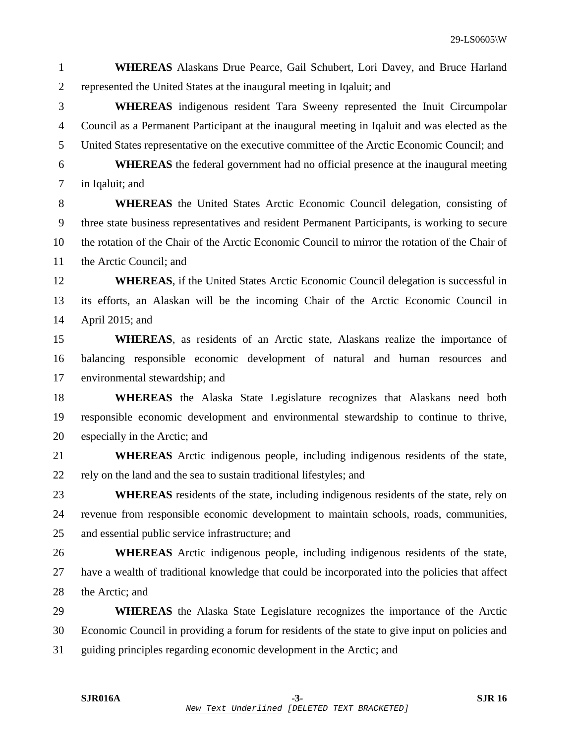- 1 **WHEREAS** Alaskans Drue Pearce, Gail Schubert, Lori Davey, and Bruce Harland 2 represented the United States at the inaugural meeting in Iqaluit; and
- 3 **WHEREAS** indigenous resident Tara Sweeny represented the Inuit Circumpolar 4 Council as a Permanent Participant at the inaugural meeting in Iqaluit and was elected as the 5 United States representative on the executive committee of the Arctic Economic Council; and
- 6 **WHEREAS** the federal government had no official presence at the inaugural meeting 7 in Iqaluit; and
- 8 **WHEREAS** the United States Arctic Economic Council delegation, consisting of 9 three state business representatives and resident Permanent Participants, is working to secure 10 the rotation of the Chair of the Arctic Economic Council to mirror the rotation of the Chair of 11 the Arctic Council; and
- 12 **WHEREAS**, if the United States Arctic Economic Council delegation is successful in 13 its efforts, an Alaskan will be the incoming Chair of the Arctic Economic Council in 14 April 2015; and
- 15 **WHEREAS**, as residents of an Arctic state, Alaskans realize the importance of 16 balancing responsible economic development of natural and human resources and 17 environmental stewardship; and
- 18 **WHEREAS** the Alaska State Legislature recognizes that Alaskans need both 19 responsible economic development and environmental stewardship to continue to thrive, 20 especially in the Arctic; and
- 21 **WHEREAS** Arctic indigenous people, including indigenous residents of the state, 22 rely on the land and the sea to sustain traditional lifestyles; and
- 23 **WHEREAS** residents of the state, including indigenous residents of the state, rely on 24 revenue from responsible economic development to maintain schools, roads, communities, 25 and essential public service infrastructure; and
- 26 **WHEREAS** Arctic indigenous people, including indigenous residents of the state, 27 have a wealth of traditional knowledge that could be incorporated into the policies that affect 28 the Arctic; and
- 29 **WHEREAS** the Alaska State Legislature recognizes the importance of the Arctic 30 Economic Council in providing a forum for residents of the state to give input on policies and 31 guiding principles regarding economic development in the Arctic; and